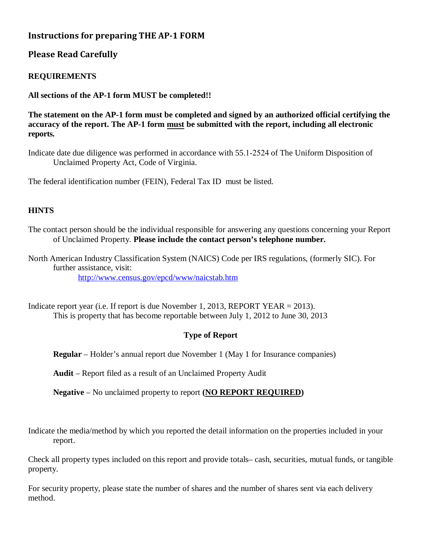# **Instructions for preparing THE AP-1 FORM**

## **Please Read Carefully**

### **REQUIREMENTS**

**All sections of the AP-1 form MUST be completed!!**

**The statement on the AP-1 form must be completed and signed by an authorized official certifying the accuracy of the report. The AP-1 form must be submitted with the report, including all electronic reports.** 

Indicate date due diligence was performed in accordance with 55.1-2524 of The Uniform Disposition of Unclaimed Property Act, Code of Virginia.

The federal identification number (FEIN), Federal Tax ID must be listed.

#### **HINTS**

The contact person should be the individual responsible for answering any questions concerning your Report of Unclaimed Property. **Please include the contact person's telephone number.**

North American Industry Classification System (NAICS) Code per IRS regulations, (formerly SIC). For further assistance, visit: <http://www.census.gov/epcd/www/naicstab.htm>

Indicate report year (i.e. If report is due November 1, 2013, REPORT YEAR = 2013). This is property that has become reportable between July 1, 2012 to June 30, 2013

#### **Type of Report**

**Regular** – Holder's annual report due November 1 (May 1 for Insurance companies)

**Audit** – Report filed as a result of an Unclaimed Property Audit

**Negative** – No unclaimed property to report **(NO REPORT REQUIRED)**

Indicate the media/method by which you reported the detail information on the properties included in your report.

Check all property types included on this report and provide totals– cash, securities, mutual funds, or tangible property.

For security property, please state the number of shares and the number of shares sent via each delivery method.